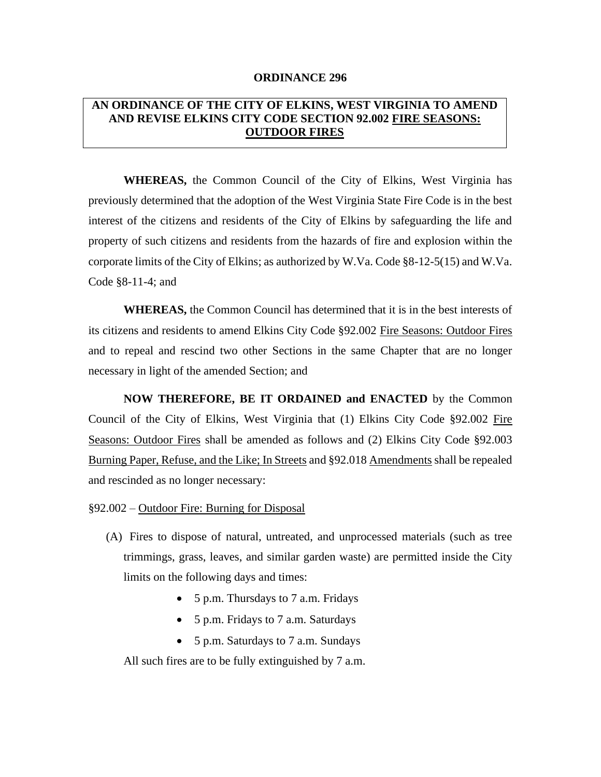## **ORDINANCE 296**

## **AN ORDINANCE OF THE CITY OF ELKINS, WEST VIRGINIA TO AMEND AND REVISE ELKINS CITY CODE SECTION 92.002 FIRE SEASONS: OUTDOOR FIRES**

**WHEREAS,** the Common Council of the City of Elkins, West Virginia has previously determined that the adoption of the West Virginia State Fire Code is in the best interest of the citizens and residents of the City of Elkins by safeguarding the life and property of such citizens and residents from the hazards of fire and explosion within the corporate limits of the City of Elkins; as authorized by W.Va. Code §8-12-5(15) and W.Va. Code §8-11-4; and

**WHEREAS,** the Common Council has determined that it is in the best interests of its citizens and residents to amend Elkins City Code §92.002 Fire Seasons: Outdoor Fires and to repeal and rescind two other Sections in the same Chapter that are no longer necessary in light of the amended Section; and

**NOW THEREFORE, BE IT ORDAINED and ENACTED** by the Common Council of the City of Elkins, West Virginia that (1) Elkins City Code §92.002 Fire Seasons: Outdoor Fires shall be amended as follows and (2) Elkins City Code §92.003 Burning Paper, Refuse, and the Like; In Streets and §92.018 Amendments shall be repealed and rescinded as no longer necessary:

## §92.002 – Outdoor Fire: Burning for Disposal

- (A) Fires to dispose of natural, untreated, and unprocessed materials (such as tree trimmings, grass, leaves, and similar garden waste) are permitted inside the City limits on the following days and times:
	- 5 p.m. Thursdays to 7 a.m. Fridays
	- 5 p.m. Fridays to 7 a.m. Saturdays
	- 5 p.m. Saturdays to 7 a.m. Sundays

All such fires are to be fully extinguished by 7 a.m.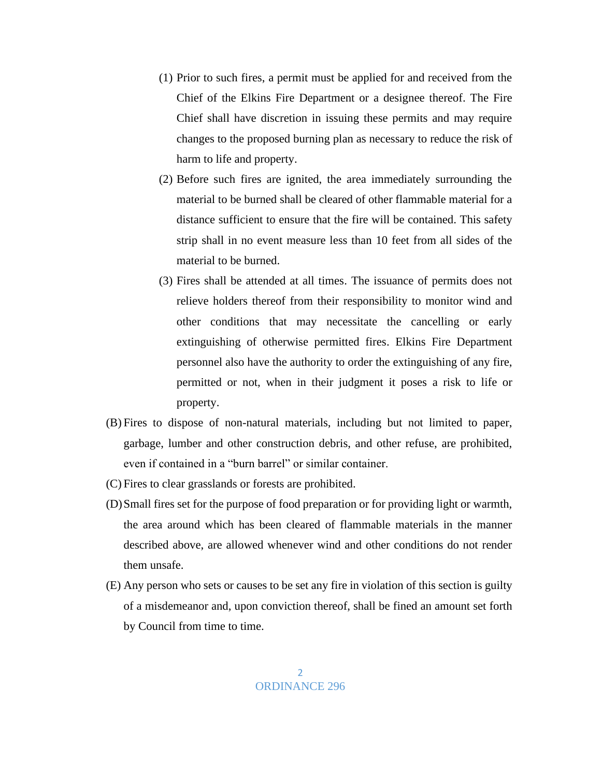(1) Prior to such fires, a permit must be applied for and received from the Chief of the Elkins Fire Department or a designee thereof. The Fire Chief shall have discretion in issuing these permits and may require changes to the proposed burning plan as necessary to reduce the risk of harm to life and property.

(2) Before such fires are ignited, the area immediately surrounding the material to be burned shall be cleared of other flammable material for a distance sufficient to ensure that the fire will be contained. This safety strip shall in no event measure less than 10 feet from all sides of the material to be burned.

- (3) Fires shall be attended at all times. The issuance of permits does not relieve holders thereof from their responsibility to monitor wind and other conditions that may necessitate the cancelling or early extinguishing of otherwise permitted fires. Elkins Fire Department personnel also have the authority to order the extinguishing of any fire, permitted or not, when in their judgment it poses a risk to life or property.
- (B) Fires to dispose of non-natural materials, including but not limited to paper, garbage, lumber and other construction debris, and other refuse, are prohibited, even if contained in a "burn barrel" or similar container.
- (C) Fires to clear grasslands or forests are prohibited.
- (D)Small fires set for the purpose of food preparation or for providing light or warmth, the area around which has been cleared of flammable materials in the manner described above, are allowed whenever wind and other conditions do not render them unsafe.
- (E) Any person who sets or causes to be set any fire in violation of this section is guilty of a misdemeanor and, upon conviction thereof, shall be fined an amount set forth by Council from time to time.